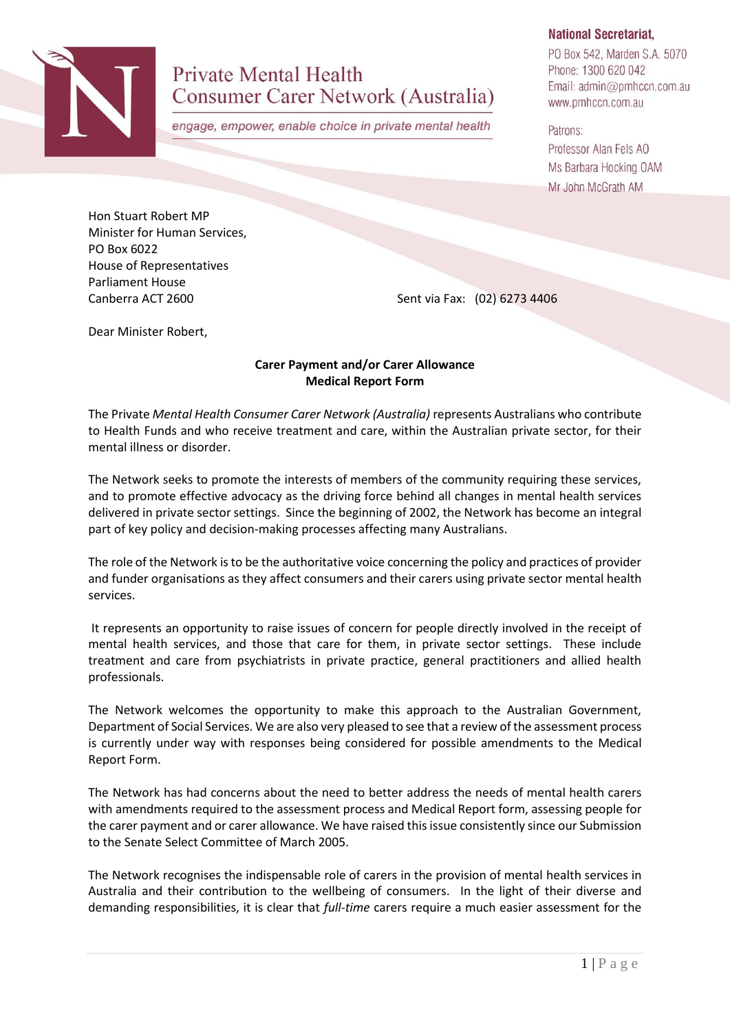

# **Private Mental Health** Consumer Carer Network (Australia)

engage, empower, enable choice in private mental health

## **National Secretariat,**

PO Box 542, Marden S.A. 5070 Phone: 1300 620 042 Email: admin@pmhccn.com.au www.pmhccn.com.au

Patrons: Professor Alan Fels AO Ms Barbara Hocking OAM Mr John McGrath AM

Hon Stuart Robert MP Minister for Human Services, PO Box 6022 House of Representatives Parliament House

Canberra ACT 2600 Sent via Fax: (02) 6273 4406

Dear Minister Robert,

## **Carer Payment and/or Carer Allowance Medical Report Form**

The Private *Mental Health Consumer Carer Network (Australia)* represents Australians who contribute to Health Funds and who receive treatment and care, within the Australian private sector, for their mental illness or disorder.

The Network seeks to promote the interests of members of the community requiring these services, and to promote effective advocacy as the driving force behind all changes in mental health services delivered in private sector settings. Since the beginning of 2002, the Network has become an integral part of key policy and decision-making processes affecting many Australians.

The role of the Network is to be the authoritative voice concerning the policy and practices of provider and funder organisations as they affect consumers and their carers using private sector mental health services.

It represents an opportunity to raise issues of concern for people directly involved in the receipt of mental health services, and those that care for them, in private sector settings. These include treatment and care from psychiatrists in private practice, general practitioners and allied health professionals.

The Network welcomes the opportunity to make this approach to the Australian Government, Department of Social Services. We are also very pleased to see that a review of the assessment process is currently under way with responses being considered for possible amendments to the Medical Report Form.

The Network has had concerns about the need to better address the needs of mental health carers with amendments required to the assessment process and Medical Report form, assessing people for the carer payment and or carer allowance. We have raised this issue consistently since our Submission to the Senate Select Committee of March 2005.

The Network recognises the indispensable role of carers in the provision of mental health services in Australia and their contribution to the wellbeing of consumers. In the light of their diverse and demanding responsibilities, it is clear that *full-time* carers require a much easier assessment for the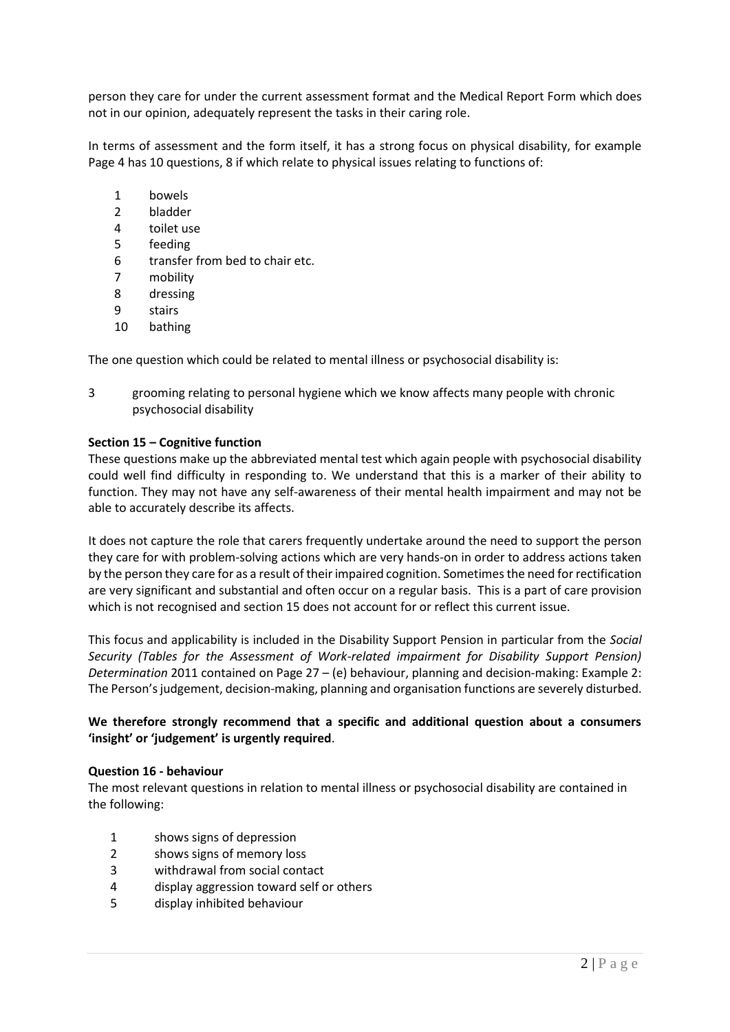person they care for under the current assessment format and the Medical Report Form which does not in our opinion, adequately represent the tasks in their caring role.

In terms of assessment and the form itself, it has a strong focus on physical disability, for example Page 4 has 10 questions, 8 if which relate to physical issues relating to functions of:

- 1 bowels
- 2 bladder
- 4 toilet use
- 5 feeding
- 6 transfer from bed to chair etc.
- 7 mobility
- 8 dressing
- 9 stairs
- 10 bathing

The one question which could be related to mental illness or psychosocial disability is:

3 grooming relating to personal hygiene which we know affects many people with chronic psychosocial disability

#### **Section 15 – Cognitive function**

These questions make up the abbreviated mental test which again people with psychosocial disability could well find difficulty in responding to. We understand that this is a marker of their ability to function. They may not have any self-awareness of their mental health impairment and may not be able to accurately describe its affects.

It does not capture the role that carers frequently undertake around the need to support the person they care for with problem-solving actions which are very hands-on in order to address actions taken by the person they care for as a result of their impaired cognition. Sometimes the need for rectification are very significant and substantial and often occur on a regular basis. This is a part of care provision which is not recognised and section 15 does not account for or reflect this current issue.

This focus and applicability is included in the Disability Support Pension in particular from the *Social Security (Tables for the Assessment of Work-related impairment for Disability Support Pension) Determination* 2011 contained on Page 27 – (e) behaviour, planning and decision-making: Example 2: The Person's judgement, decision-making, planning and organisation functions are severely disturbed.

## **We therefore strongly recommend that a specific and additional question about a consumers 'insight' or 'judgement' is urgently required**.

#### **Question 16 - behaviour**

The most relevant questions in relation to mental illness or psychosocial disability are contained in the following:

- 1 shows signs of depression
- 2 shows signs of memory loss
- 3 withdrawal from social contact
- 4 display aggression toward self or others
- 5 display inhibited behaviour